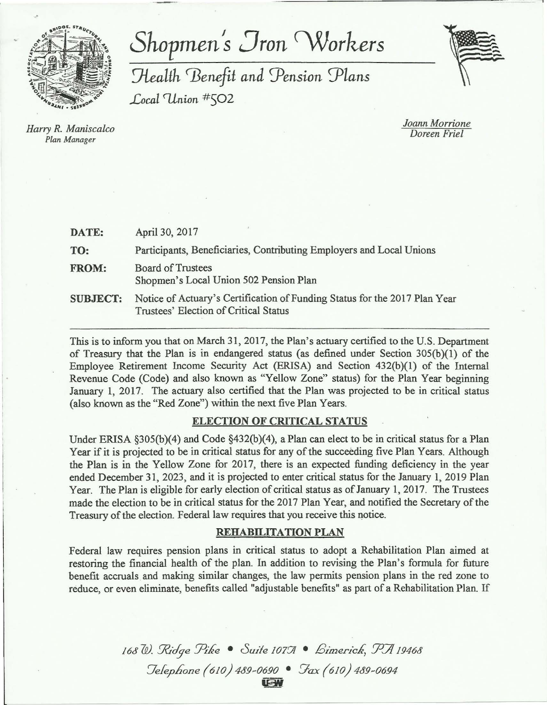

# *Shopmen's Jron Workers*

 $Health$  Benefit and Pension Plans *Local <Union* #502



*Harry R. Maniscalco Plan Manager* 

*Joann Morrione Doreen Friel* 

| DATE:           | April 30, 2017                                                                                                      |
|-----------------|---------------------------------------------------------------------------------------------------------------------|
| TO:             | Participants, Beneficiaries, Contributing Employers and Local Unions                                                |
| <b>FROM:</b>    | <b>Board of Trustees</b><br>Shopmen's Local Union 502 Pension Plan                                                  |
| <b>SUBJECT:</b> | Notice of Actuary's Certification of Funding Status for the 2017 Plan Year<br>Trustees' Election of Critical Status |

This is to inform you that on March 31, 2017, the Plan's actuary certified to the U.S. Department of Treasury that the Plan is in endangered status (as defined under Section 305(b)(l) of the Employee Retirement Income Security Act (ERISA) and Section 432(b)(1) of the Internal Revenue Code (Code) and also known as "Yellow Zone" status) for the Plan Year beginning January 1, 2017. The actuary also certified that the Plan was projected to be in critical status (also known as the "Red Zone") within the next five Plan Years.

# ELECTION OF CRITICAL STATUS

Under ERISA §305(b)(4) and Code §432(b)(4), a Plan can elect to be in critical status for a Plan Year if it is projected to be in critical status for any of the succeeding five Plan Years. Although the Plan is in the Yellow Zone for 2017, there is an expected funding deficiency in the year ended December 31, 2023, and it is projected to enter critical status for the January 1, 2019 Plan Year. The Plan is eligible for early election of critical status as of January 1, 2017. The Trustees made the election to be in critical status for the 2017 Plan Year, and notified the Secretary of the Treasury of the election. Federal law requires that you receive this notice.

# REHABILITATION PLAN

Federal law requires pension plans in critical status to adopt a Rehabilitation Plan aimed at restoring the financial health of the plan. In addition to revising the Plan's formula for future benefit accruals and making similar changes, the law permits pension plans in the red zone to reduce, or even eliminate, benefits called "adjustable benefits" as part of a Rehabilitation Plan. If

> 168 W. Ridge Pike • Suite 1077 • *Bimerick*, PA 19468 *7efep.hone* (610) 4<J9~06.90 • *Yax* (610) 4&9~06.94 ~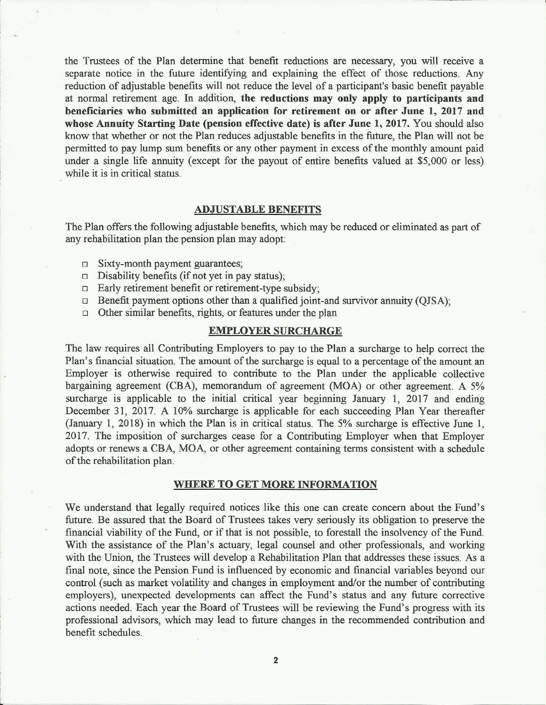the Trustees of the Plan determine that benefit reductions are necessary, you will receive a separate notice in the future identifying and explaining the effect of those reductions. Any reduction of adjustable benefits will not reduce the level of a participant's basic benefit payable at normal retirement age. In addition, **the reductions may only apply to participants and beneficiaries who submitted an application for retirement on or after June 1, 2017 and whose Annuity Starting Date (pension effective date) is after June 1, 2017.** You should also know that whether or not the Plan reduces adjustable benefits in the future, the Plan will not be permitted to pay lump sum benefits or any other payment in excess of the monthly amount paid under a single life annuity (except for the payout of entire benefits valued at \$5,000 or less) while it is in critical status.

#### **ADJUSTABLE BENEFITS**

The Plan offers the following adjustable benefits, which may be reduced or eliminated as part of any rehabilitation plan the pension plan may adopt:

- $\square$  Sixty-month payment guarantees;
- $\Box$  Disability benefits (if not yet in pay status);
- $\Box$  Early retirement benefit or retirement-type subsidy;
- $\Box$  Benefit payment options other than a qualified joint-and survivor annuity (OJSA);
- $\Box$  Other similar benefits, rights, or features under the plan

## **EMPLOYER SURCHARGE**

The law requires all Contributing Employers to pay to the Plan a surcharge to help correct the Plan's financial situation. The amount of the surcharge is equal to a percentage of the amount an Employer is otherwise required to contribute to the Plan under the applicable collective bargaining agreement (CBA), memorandum of agreement (MOA) or other agreement. A 5% surcharge is applicable to the initial critical year beginning January 1, 2017 and ending December 31, 2017. A 10% surcharge is applicable for each succeeding Plan Year thereafter (January 1, 2018) in which the Plan is in critical status. The 5% surcharge is effective June 1, 2017. The imposition of surcharges cease for a Contributing Employer when that Employer adopts or renews a CBA, MOA, or other agreement containing terms consistent with a schedule of the rehabilitation plan.

## **WHERE TO GET MORE INFORMATION**

We understand that legally required notices like this one can create concern about the Fund's future. Be assured that the Board of Trustees takes very seriously its obligation to preserve the financial viability of the Fund, or if that is not possible, to forestall the insolvency of the Fund. With the assistance of the Plan's actuary, legal counsel and other professionals, and working with the Union, the Trustees will develop a Rehabilitation Plan that addresses these issues. As a final note, since the Pension Fund is influenced by economic and financial variables beyond our control (such as market volatility and changes in employment and/or the number of contributing employers), unexpected developments can affect the Fund's status and any future corrective actions needed. Each year the Board of Trustees will be reviewing the Fund's progress with its professional advisors, which may lead to future changes in the recommended contribution and benefit schedules.